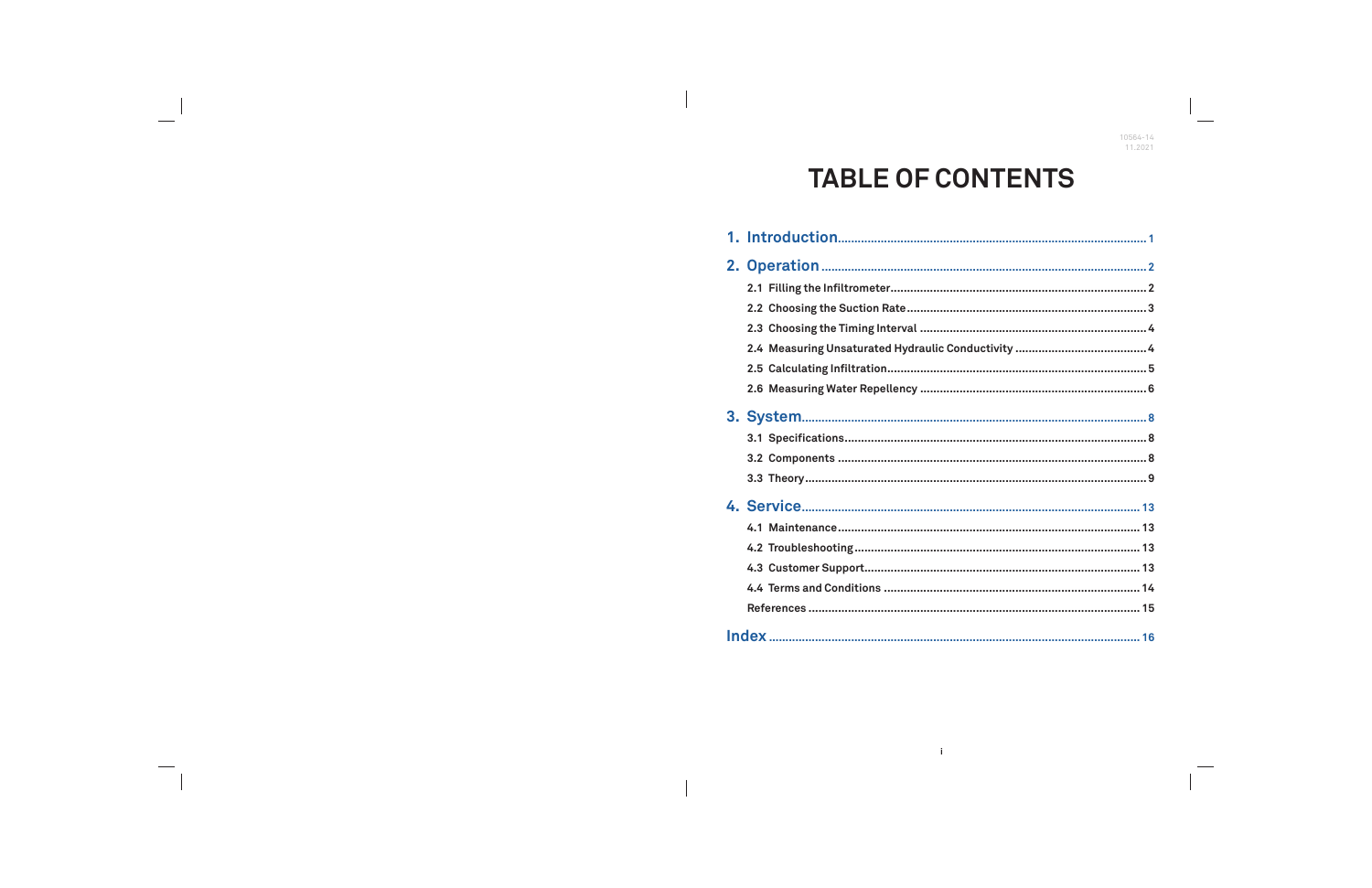# **TABLE OF CONTENTS**

 $\overline{\phantom{a}}$ 

 $\overline{\phantom{a}}$ 

 $\overline{\phantom{a}}$ 

|  | 2.2 Choosing the Suction Rate                    |
|--|--------------------------------------------------|
|  | 2.3 Choosing the Timing Interval                 |
|  | 2.4 Measuring Unsaturated Hydraulic Conductivity |
|  |                                                  |
|  | 2.6 Measuring Water Repellency                   |
|  |                                                  |
|  |                                                  |
|  |                                                  |
|  |                                                  |
|  |                                                  |
|  |                                                  |
|  |                                                  |
|  |                                                  |
|  |                                                  |
|  |                                                  |
|  |                                                  |
|  |                                                  |
|  |                                                  |

 $\mathbf{I}$  .

10564-14<br>11.2021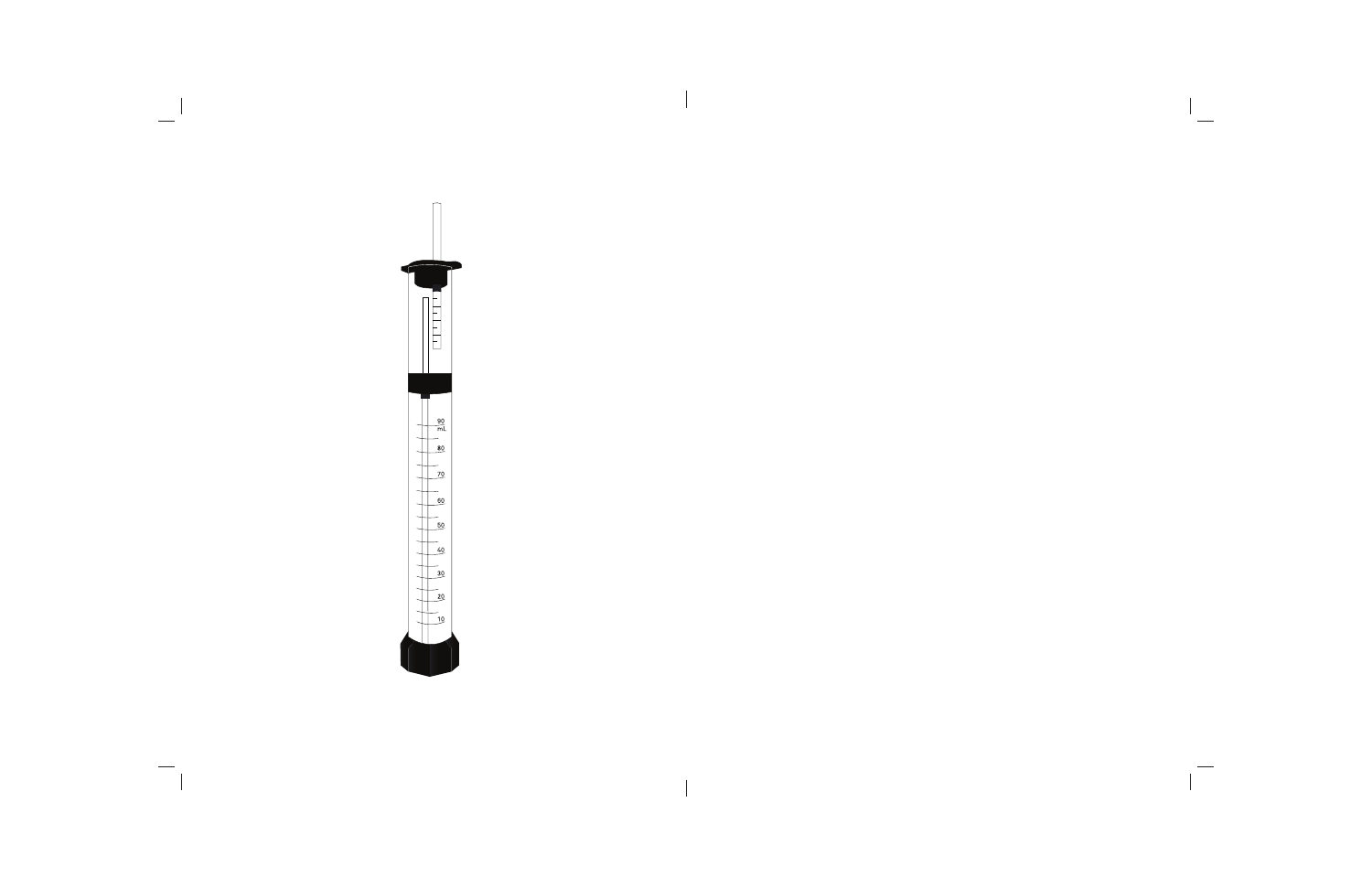

 $\overline{\phantom{a}}$ 

 $\begin{array}{c} \hline \end{array}$ 

 $\overline{\phantom{a}}$ 

 $\overline{\phantom{a}}$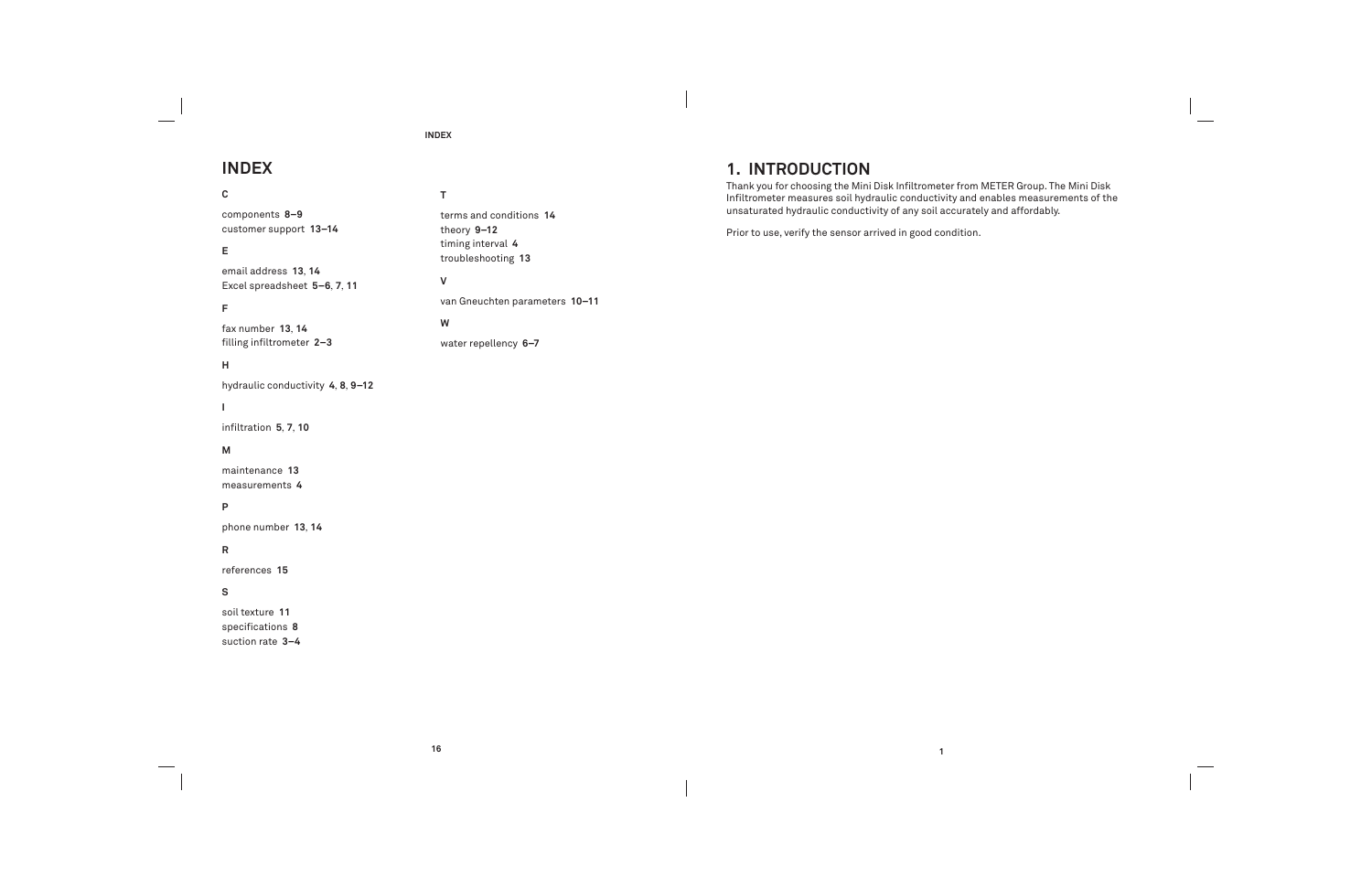#### **INDEX**

# **INDEX**

#### **C**

 $\overline{\phantom{a}}$ 

components **8–9** customer support **13–14**

fax number **13**, **14** filling infiltrometer 2-3

# **E**

email address **13**, **14** Excel spreadsheet **5–6**, **7**, **11**

#### **I** $\Gamma$

# **F**

#### **H**

hydraulic conductivity **4**, **8**, **9–12**

infi ltration **5**, **7**, **10**

#### **M**

maintenance **13**measurements **4**

#### **P**

phone number **13**, **14**

#### **R**

references **15**

#### **S**

soil texture **11** specifications 8 suction rate **3–4**

# **T** terms and conditions **14** theory **9–12** timing interval **4** troubleshooting **13 V**

van Gneuchten parameters **10–11**

**W**

water repellency **6–7**

**1**

# **1. INTRODUCTION**

Thank you for choosing the Mini Disk Infiltrometer from METER Group. The Mini Disk Infiltrometer measures soil hydraulic conductivity and enables measurements of the unsaturated hydraulic conductivity of any soil accurately and affordably.

Prior to use, verify the sensor arrived in good condition.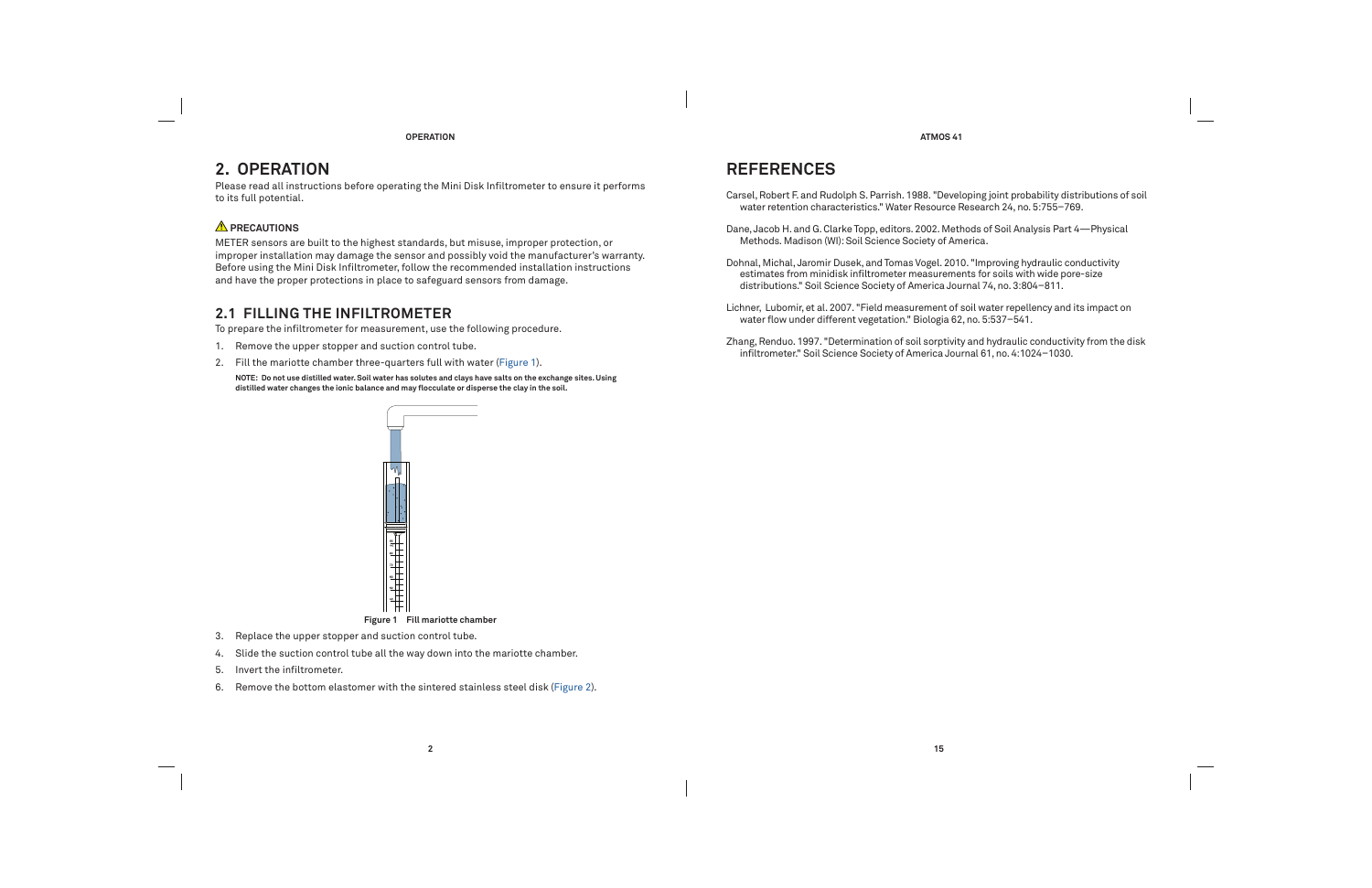#### **OPERATION**

# **2. OPERATION**

Please read all instructions before operating the Mini Disk Infiltrometer to ensure it performs to its full potential.

### **A** PRECAUTIONS

METER sensors are built to the highest standards, but misuse, improper protection, or improper installation may damage the sensor and possibly void the manufacturer's warranty. Before using the Mini Disk Infiltrometer, follow the recommended installation instructions and have the proper protections in place to safeguard sensors from damage.

# **2.1 FILLING THE INFILTROMETER**

To prepare the infiltrometer for measurement, use the following procedure.

- 1. Remove the upper stopper and suction control tube.
- 2. Fill the mariotte chamber three-quarters full with water (Figure 1).
- **NOTE: Do not use distilled water. Soil water has solutes and clays have salts on the exchange sites. Using distilled water changes the ionic balance and may flocculate or disperse the clay in the soil.**



**Figure 1 Fill mariotte chamber**

- 3. Replace the upper stopper and suction control tube.
- 4. Slide the suction control tube all the way down into the mariotte chamber.
- 5. Invert the infiltrometer.
- 6. Remove the bottom elastomer with the sintered stainless steel disk (Figure 2).

#### **ATMOS 41**

# **REFERENCES**

- Carsel, Robert F. and Rudolph S. Parrish. 1988. "Developing joint probability distributions of soil water retention characteristics." Water Resource Research 24, no. 5:755–769.
- Dane, Jacob H. and G. Clarke Topp, editors. 2002. Methods of Soil Analysis Part 4—Physical Methods. Madison (WI): Soil Science Society of America.
- Dohnal, Michal, Jaromir Dusek, and Tomas Vogel. 2010. "Improving hydraulic conductivity estimates from minidisk infiltrometer measurements for soils with wide pore-size distributions." Soil Science Society of America Journal 74, no. 3:804–811.
- Lichner, Lubomir, et al. 2007. "Field measurement of soil water repellency and its impact on water flow under different vegetation." Biologia 62, no. 5:537–541.
- Zhang, Renduo. 1997. "Determination of soil sorptivity and hydraulic conductivity from the disk infiltrometer." Soil Science Society of America Journal 61, no. 4:1024–1030.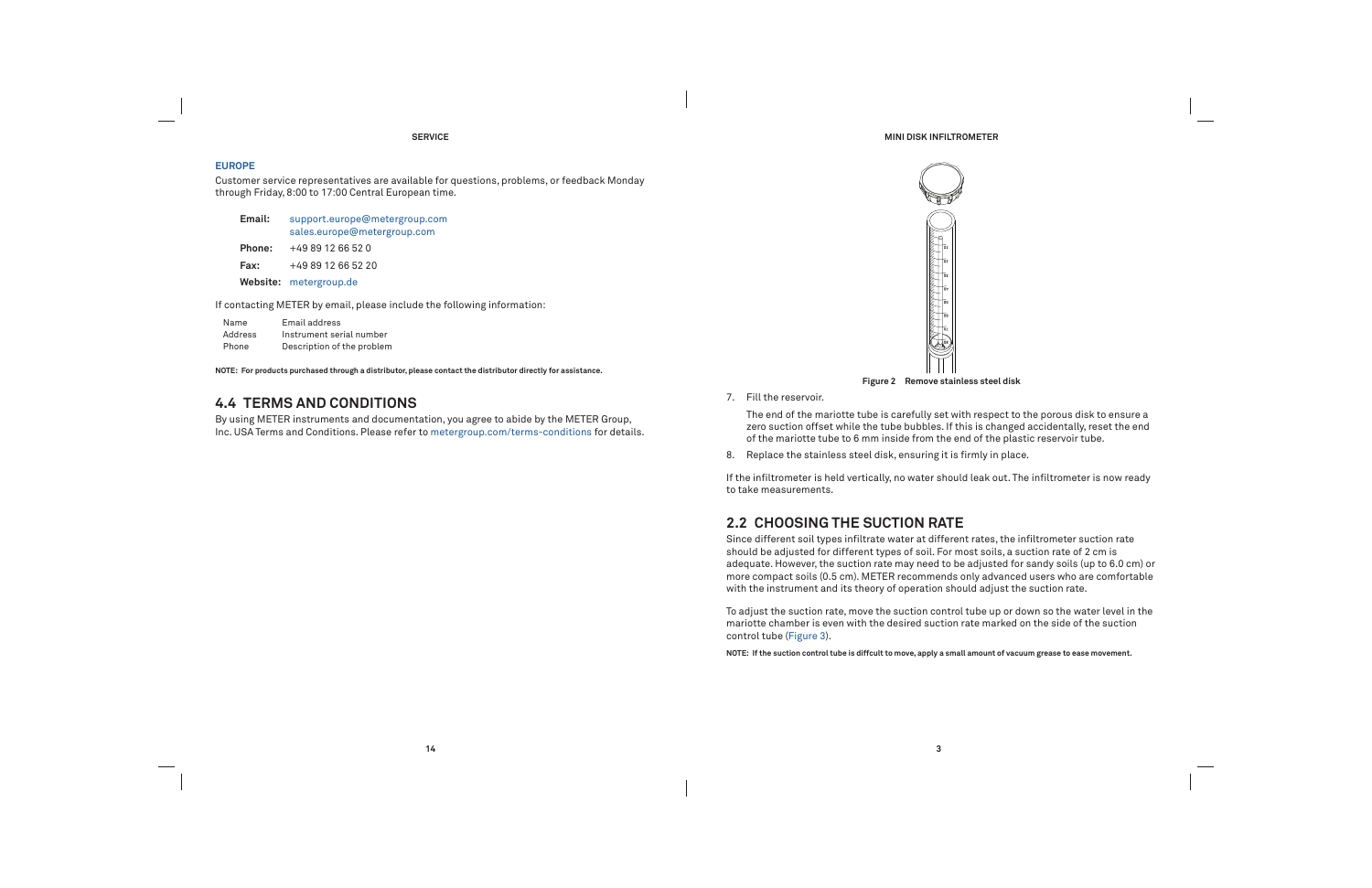#### **SERVICE**

#### **EUROPE**

Customer service representatives are available for questions, problems, or feedback Monday through Friday, 8:00 to 17:00 Central European time.

| Email: | support.europe@metergroup.com<br>sales.europe@metergroup.com |
|--------|--------------------------------------------------------------|
| Phone: | $+49891266520$                                               |
| Fax:   | $+498912665220$                                              |
|        | Website: metergroup.de                                       |

If contacting METER by email, please include the following information:

| Name    | Email address              |
|---------|----------------------------|
| Address | Instrument serial number   |
| Phone   | Description of the problem |

**NOTE: For products purchased through a distributor, please contact the distributor directly for assistance.**

### **4.4 TERMS AND CONDITIONS**

By using METER instruments and documentation, you agree to abide by the METER Group, Inc. USA Terms and Conditions. Please refer to metergroup.com/terms-conditions for details.



**MINI DISK INFILTROMETER**

**Figure 2 Remove stainless steel disk**

7. Fill the reservoir.

The end of the mariotte tube is carefully set with respect to the porous disk to ensure a zero suction offset while the tube bubbles. If this is changed accidentally, reset the end of the mariotte tube to 6 mm inside from the end of the plastic reservoir tube.

8. Replace the stainless steel disk, ensuring it is firmly in place.

If the infiltrometer is held vertically, no water should leak out. The infiltrometer is now ready to take measurements.

# **2.2 CHOOSING THE SUCTION RATE**

 Since different soil types infiltrate water at different rates, the infiltrometer suction rate should be adjusted for different types of soil. For most soils, a suction rate of 2 cm is adequate. However, the suction rate may need to be adjusted for sandy soils (up to 6.0 cm) or more compact soils (0.5 cm). METER recommends only advanced users who are comfortable with the instrument and its theory of operation should adjust the suction rate.

To adjust the suction rate, move the suction control tube up or down so the water level in the mariotte chamber is even with the desired suction rate marked on the side of the suction control tube (Figure 3).

**NOTE: If the suction control tube is diffcult to move, apply a small amount of vacuum grease to ease movement.**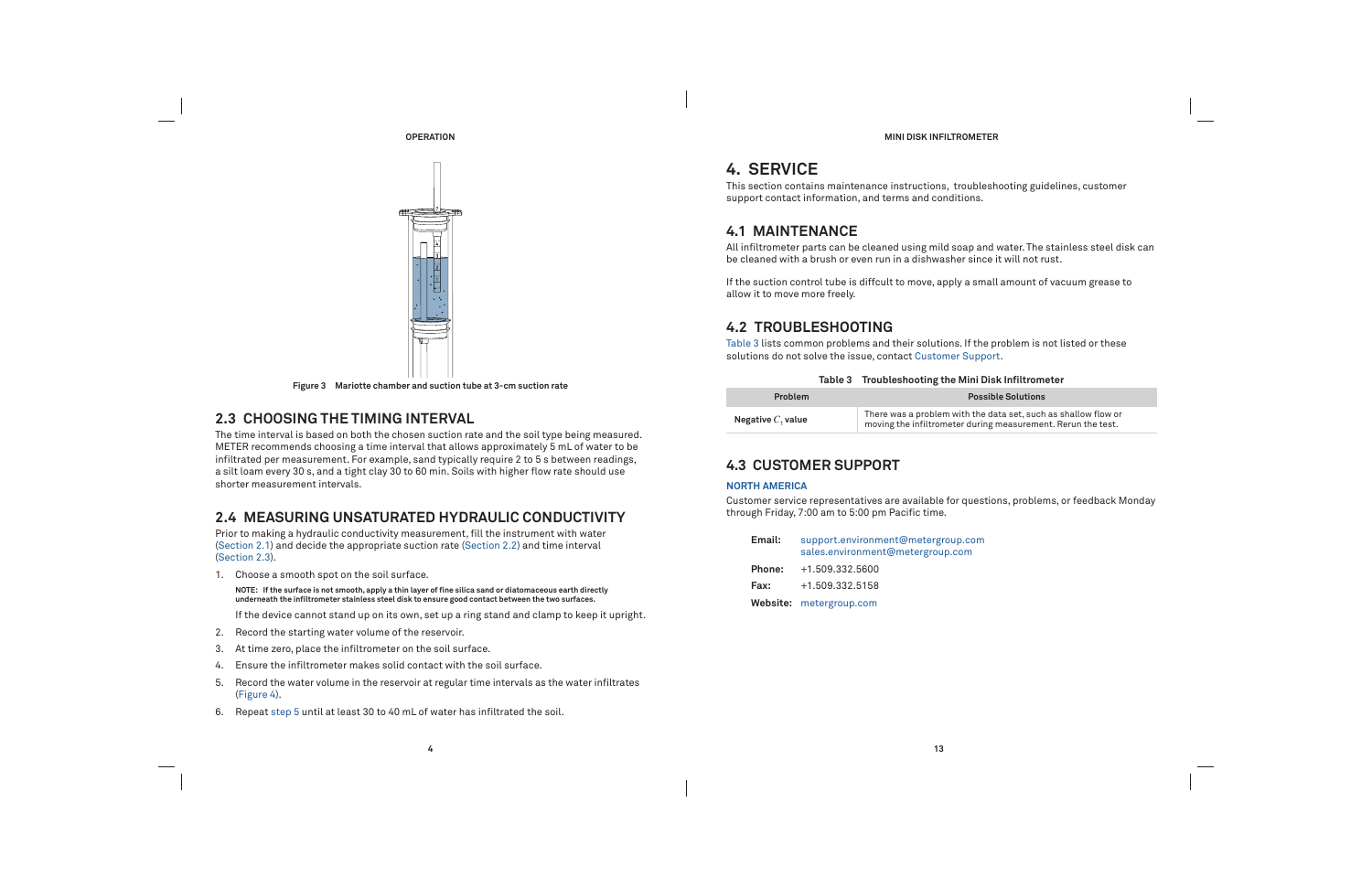**OPERATION**



**Figure 3 Mariotte chamber and suction tube at 3-cm suction rate**

# **2.3 CHOOSING THE TIMING INTERVAL**

 The time interval is based on both the chosen suction rate and the soil type being measured. METER recommends choosing a time interval that allows approximately 5 mL of water to be infiltrated per measurement. For example, sand typically require 2 to 5 s between readings, a silt loam every 30 s, and a tight clay 30 to 60 min. Soils with higher flow rate should use shorter measurement intervals.

## **2.4 MEASURING UNSATURATED HYDRAULIC CONDUCTIVITY**

- 2. Record the starting water volume of the reservoir.
- 3. At time zero, place the infiltrometer on the soil surface.
- 4. Ensure the infiltrometer makes solid contact with the soil surface.
- 5. Record the water volume in the reservoir at regular time intervals as the water infiltrates (Figure 4).
- 6. Repeat step 5 until at least 30 to 40 mL of water has infiltrated the soil.

 Prior to making a hydraulic conductivity measurement, fill the instrument with water (Section 2.1) and decide the appropriate suction rate (Section 2.2) and time interval (Section 2.3).

1. Choose a smooth spot on the soil surface.

**NOTE:** If the surface is not smooth, apply a thin layer of fine silica sand or diatomaceous earth directly underneath the infiltrometer stainless steel disk to ensure good contact between the two surfaces.

If the device cannot stand up on its own, set up a ring stand and clamp to keep it upright.

#### **Infiltrometer**

#### **Solutions**

**MINI DISK INFILTROMETER**

# **4. SERVICE**

This section contains maintenance instructions, troubleshooting guidelines, customer support contact information, and terms and conditions.

### **4.1 MAINTENANCE**

All infiltrometer parts can be cleaned using mild soap and water. The stainless steel disk can be cleaned with a brush or even run in a dishwasher since it will not rust.

If the suction control tube is diffcult to move, apply a small amount of vacuum grease to allow it to move more freely.

# **4.2 TROUBLESHOOTING**

Table 3 lists common problems and their solutions. If the problem is not listed or these solutions do not solve the issue, contact Customer Support.

| Table 3 | Troubleshooting the Mini Disk |
|---------|-------------------------------|
|---------|-------------------------------|

| <b>Problem</b>       | <b>Possible Solutions</b>                                                                                                      |
|----------------------|--------------------------------------------------------------------------------------------------------------------------------|
| Negative $C_1$ value | There was a problem with the data set, such as shallow flow or<br>moving the infiltrometer during measurement. Rerun the test. |

### **4.3 CUSTOMER SUPPORT**

#### **NORTH AMERICA**

Customer service representatives are available for questions, problems, or feedback Monday through Friday, 7:00 am to 5:00 pm Pacific time.

| Email: | support.environment@metergroup.com<br>sales.environment@metergroup.com |
|--------|------------------------------------------------------------------------|
| Phone: | +1.509.332.5600                                                        |
| Fax:   | +1.509.332.5158                                                        |
|        | Website: metergroup.com                                                |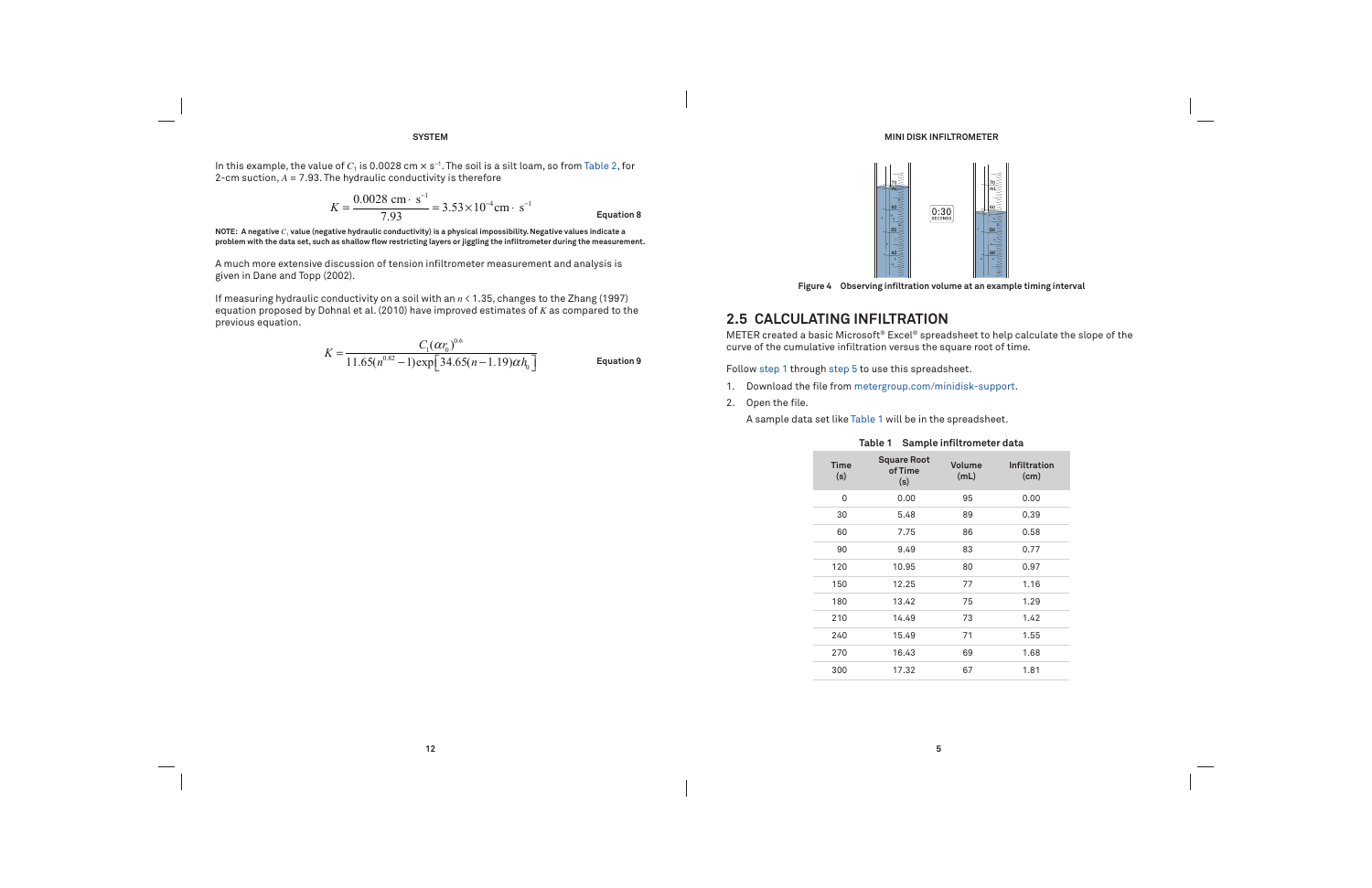#### data

#### **SYSTEM**

$$
K = \frac{0.0028 \text{ cm} \cdot \text{s}^{-1}}{7.93} = 3.53 \times 10^{-4} \text{ cm} \cdot \text{s}^{-1}
$$

**NOTE: A negative** *C*1 **value (negative hydraulic conductivity) is a physical impossibility. Negative values indicate a problem with the data set, such as shallow flow restricting layers or jiggling the infiltrometer during the measurement.**

If measuring hydraulic conductivity on a soil with an  $n < 1.35$ , changes to the Zhang (1997) equation proposed by Dohnal et al. (2010) have improved estimates of *K* as compared to the previous equation.

A much more extensive discussion of tension infiltrometer measurement and analysis is given in Dane and Topp (2002).

**Equation 9** 



Figure 4 Observing infiltration volume at an example timing interval

$$
K = \frac{C_1(\alpha r_0)^{0.6}}{11.65(n^{0.82} - 1)\exp\left[34.65(n - 1.19)\alpha h_0\right]}
$$

**5**

**MINI DISK INFILTROMETER**

In this example, the value of  $C_1$  is 0.0028 cm  $\times$  s<sup>-1</sup>. The soil is a silt loam, so from Table 2, for 2-cm suction,  $A = 7.93$ . The hydraulic conductivity is therefore

# **2.5 CALCULATING INFILTRATION**

METER created a basic Microsoft® Excel® spreadsheet to help calculate the slope of the curve of the cumulative infiltration versus the square root of time.

Follow step 1 through step 5 to use this spreadsheet.

1. Download the file from metergroup.com/minidisk-support.

2. Open the file.

A sample data set like Table 1 will be in the spreadsheet.

| Infiltration<br>(cm) |
|----------------------|
| 0.00                 |
| 0.39                 |
| 0.58                 |
| 0.77                 |
| 0.97                 |
| 1.16                 |
| 1.29                 |
| 1.42                 |
| 1.55                 |
| 1.68                 |
| 1.81                 |
|                      |

|                    | Table 1 Sample infiltrometer data    |                |                   |
|--------------------|--------------------------------------|----------------|-------------------|
| <b>Time</b><br>(s) | <b>Square Root</b><br>of Time<br>(s) | Volume<br>(mL) | Infiltrat<br>(cm) |
| 0                  | 0.00                                 | 95             | 0.00              |
| 30                 | 5.48                                 | 89             | 0.39              |
| 60                 | 7.75                                 | 86             | 0.58              |
| 90                 | 9.49                                 | 83             | 0.77              |
| 120                | 10.95                                | 80             | 0.97              |
| 150                | 12.25                                | 77             | 1.16              |
| 180                | 13.42                                | 75             | 1.29              |
| 210                | 14.49                                | 73             | 1.42              |
| 240                | 15.49                                | 71             | 1.55              |
| 270                | 16.43                                | 69             | 1.68              |
| 300                | 17.32                                | 67             | 1.81              |
|                    |                                      |                |                   |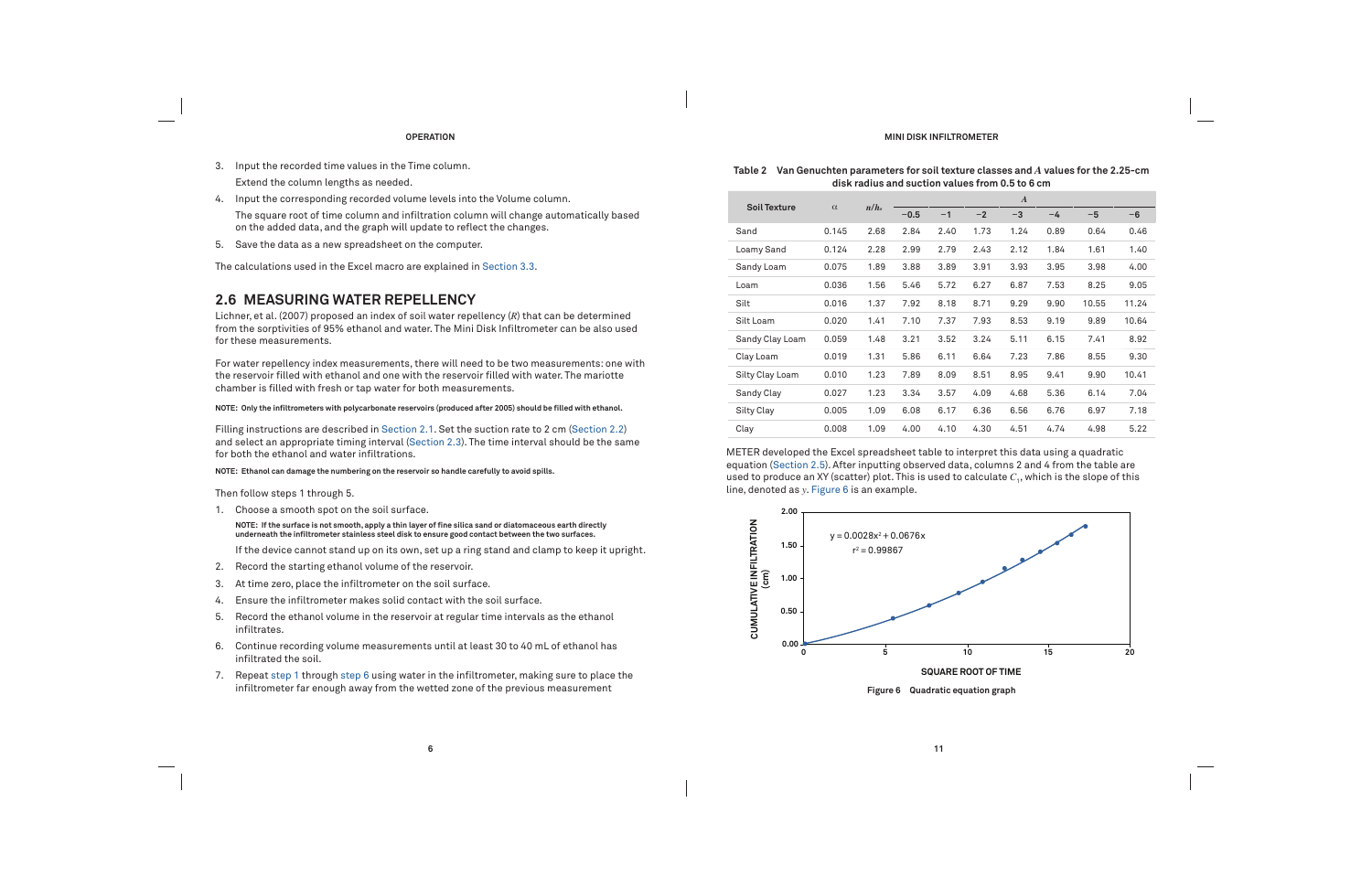#### **OPERATION**

- 3. Input the recorded time values in the Time column. Extend the column lengths as needed.
- 4. Input the corresponding recorded volume levels into the Volume column. The square root of time column and infiltration column will change automatically based on the added data, and the graph will update to reflect the changes.
- 5. Save the data as a new spreadsheet on the computer.

The calculations used in the Excel macro are explained in Section 3.3.

# **2.6 MEASURING WATER REPELLENCY**

Filling instructions are described in Section 2.1. Set the suction rate to 2 cm (Section 2.2) and select an appropriate timing interval (Section 2.3). The time interval should be the same for both the ethanol and water infiltrations.

Lichner, et al. (2007) proposed an index of soil water repellency (*R*) that can be determined from the sorptivities of 95% ethanol and water. The Mini Disk Infiltrometer can be also used for these measurements.

1. Choose a smooth spot on the soil surface. **NOTE:** If the surface is not smooth, apply a thin layer of fine silica sand or diatomaceous earth directly underneath the infiltrometer stainless steel disk to ensure good contact between the two surfaces.

For water repellency index measurements, there will need to be two measurements: one with the reservoir filled with ethanol and one with the reservoir filled with water. The mariotte chamber is filled with fresh or tap water for both measurements.

- 2. Record the starting ethanol volume of the reservoir.
- 3. At time zero, place the infiltrometer on the soil surface.
- 4. Ensure the infiltrometer makes solid contact with the soil surface.
- 5. Record the ethanol volume in the reservoir at regular time intervals as the ethanol infiltrates.
- 6. Continue recording volume measurements until at least 30 to 40 mL of ethanol has infiltrated the soil.
- 7. Repeat step 1 through step 6 using water in the infiltrometer, making sure to place the infiltrometer far enough away from the wetted zone of the previous measurement

**NOTE: Only the infiltrometers with polycarbonate reservoirs (produced after 2005) should be filled with ethanol.**

**NOTE: Ethanol can damage the numbering on the reservoir so handle carefully to avoid spills.** 

Then follow steps 1 through 5.

If the device cannot stand up on its own, set up a ring stand and clamp to keep it upright.

**MINI DISK INFILTROMETER**

**Table 2 Van Genuchten parameters for soil texture classes and** *A* **values for the 2.25-cm disk radius and suction values from 0.5 to 6 cm**

| <b>Soil Texture</b> |          |                  | $\boldsymbol{A}$ |      |      |      |      |       |       |  |  |  |
|---------------------|----------|------------------|------------------|------|------|------|------|-------|-------|--|--|--|
|                     | $\alpha$ | n/h <sub>o</sub> | $-0.5$           | $-1$ | $-2$ | $-3$ | $-4$ | $-5$  | $-6$  |  |  |  |
| Sand                | 0.145    | 2.68             | 2.84             | 2.40 | 1.73 | 1.24 | 0.89 | 0.64  | 0.46  |  |  |  |
| Loamy Sand          | 0.124    | 2.28             | 2.99             | 2.79 | 2.43 | 2.12 | 1.84 | 1.61  | 1.40  |  |  |  |
| Sandy Loam          | 0.075    | 1.89             | 3.88             | 3.89 | 3.91 | 3.93 | 3.95 | 3.98  | 4.00  |  |  |  |
| Loam                | 0.036    | 1.56             | 5.46             | 5.72 | 6.27 | 6.87 | 7.53 | 8.25  | 9.05  |  |  |  |
| Silt                | 0.016    | 1.37             | 7.92             | 8.18 | 8.71 | 9.29 | 9.90 | 10.55 | 11.24 |  |  |  |
| Silt Loam           | 0.020    | 1.41             | 7.10             | 7.37 | 7.93 | 8.53 | 9.19 | 9.89  | 10.64 |  |  |  |
| Sandy Clay Loam     | 0.059    | 1.48             | 3.21             | 3.52 | 3.24 | 5.11 | 6.15 | 7.41  | 8.92  |  |  |  |
| Clay Loam           | 0.019    | 1.31             | 5.86             | 6.11 | 6.64 | 7.23 | 7.86 | 8.55  | 9.30  |  |  |  |
| Silty Clay Loam     | 0.010    | 1.23             | 7.89             | 8.09 | 8.51 | 8.95 | 9.41 | 9.90  | 10.41 |  |  |  |
| Sandy Clay          | 0.027    | 1.23             | 3.34             | 3.57 | 4.09 | 4.68 | 5.36 | 6.14  | 7.04  |  |  |  |
| <b>Silty Clay</b>   | 0.005    | 1.09             | 6.08             | 6.17 | 6.36 | 6.56 | 6.76 | 6.97  | 7.18  |  |  |  |
| Clay                | 0.008    | 1.09             | 4.00             | 4.10 | 4.30 | 4.51 | 4.74 | 4.98  | 5.22  |  |  |  |

METER developed the Excel spreadsheet table to interpret this data using a quadratic equation (Section 2.5). After inputting observed data, columns 2 and 4 from the table are used to produce an XY (scatter) plot. This is used to calculate  $C_1$ , which is the slope of this line, denoted as *y*. Figure 6 is an example.



**Figure 6 Quadratic equation graph**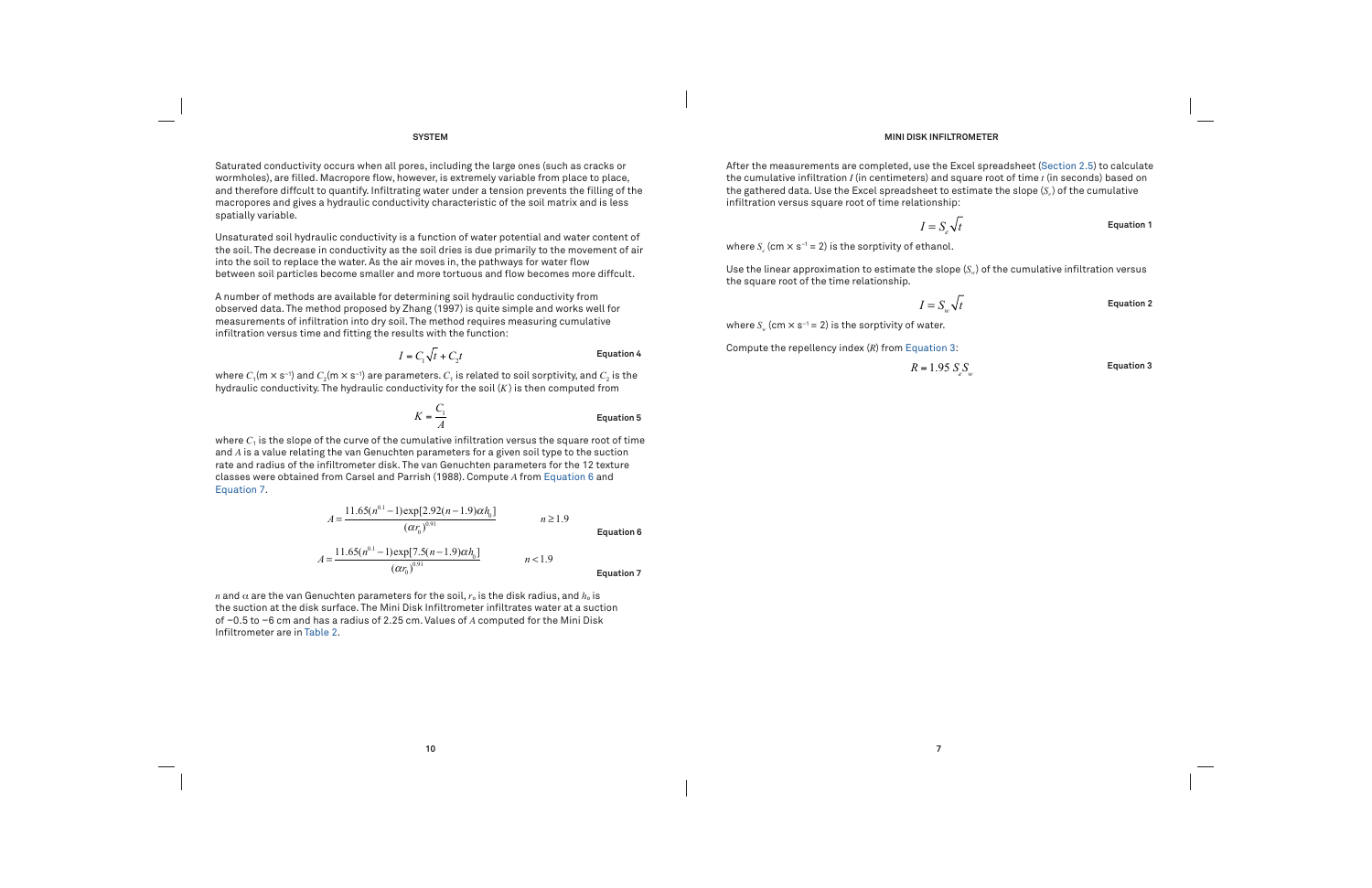#### **SYSTEM**

Saturated conductivity occurs when all pores, including the large ones (such as cracks or wormholes), are filled. Macropore flow, however, is extremely variable from place to place, and therefore diffcult to quantify. Infiltrating water under a tension prevents the filling of the macropores and gives a hydraulic conductivity characteristic of the soil matrix and is less spatially variable.

Unsaturated soil hydraulic conductivity is a function of water potential and water content of the soil. The decrease in conductivity as the soil dries is due primarily to the movement of air into the soil to replace the water. As the air moves in, the pathways for water flow between soil particles become smaller and more tortuous and flow becomes more diffcult.

where  $C_1(m \times s^{-1})$  and  $C_2(m \times s^{-1})$  are parameters.  $C_1$  is related to soil sorptivity, and  $C_2$  is the hydraulic conductivity. The hydraulic conductivity for the soil (*K* ) is then computed from

where  $C_1$  is the slope of the curve of the cumulative infiltration versus the square root of time and *A* is a value relating the van Genuchten parameters for a given soil type to the suction rate and radius of the infiltrometer disk. The van Genuchten parameters for the 12 texture classes were obtained from Carsel and Parrish (1988). Compute *A* from Equation 6 and Equation 7.

A number of methods are available for determining soil hydraulic conductivity from observed data. The method proposed by Zhang (1997) is quite simple and works well for measurements of infiltration into dry soil. The method requires measuring cumulative infiltration versus time and fitting the results with the function:

*n* and  $\alpha$  are the van Genuchten parameters for the soil,  $r_0$  is the disk radius, and  $h_0$  is the suction at the disk surface. The Mini Disk Infiltrometer infiltrates water at a suction of –0.5 to –6 cm and has a radius of 2.25 cm. Values of *A* computed for the Mini Disk Infiltrometer are in Table 2.

$$
I = C_1 \sqrt{t + C_2 t}
$$
 Equation 4

$$
K = \frac{C_1}{A}
$$
 Equation 5

Use the linear approximation to estimate the slope  $(S_m)$  of the cumulative infiltration versus the square root of the time relationship.

$$
A = \frac{11.65(n^{0.1} - 1)\exp[2.92(n - 1.9)\alpha h_0]}{(\alpha r_0)^{0.91}}
$$
   
  $n \ge 1.9$   
Equation 6  

$$
A = \frac{11.65(n^{0.1} - 1)\exp[7.5(n - 1.9)\alpha h_0]}{(\alpha r_0)^{0.91}}
$$
   
  $n < 1.9$   
Equation 7

**7**

#### **MINI DISK INFILTROMETER**

After the measurements are completed, use the Excel spreadsheet (Section 2.5) to calculate the cumulative infiltration *I* (in centimeters) and square root of time *t* (in seconds) based on the gathered data. Use the Excel spreadsheet to estimate the slope (S<sub>e</sub>) of the cumulative infiltration versus square root of time relationship:

**Equation 1** *I*

$$
I = S_e \sqrt{t}
$$

where  $S_e$  (cm  $\times$  s<sup>-1</sup> = 2) is the sorptivity of ethanol.

**Equation 2** *I*

$$
I = S_w \sqrt{t}
$$

where  $S_w$  (cm  $\times$  s<sup>-1</sup> = 2) is the sorptivity of water.

Compute the repellency index (*R*) from Equation 3:

 $R = 1.95 S_{e} S_{w}$  Equation 3